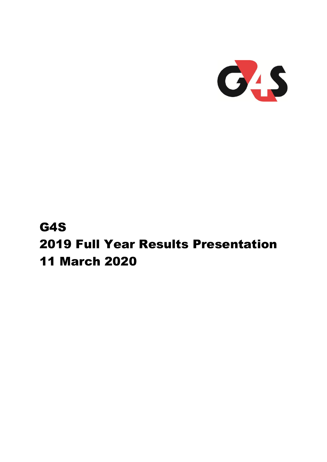

# G4S 2019 Full Year Results Presentation 11 March 2020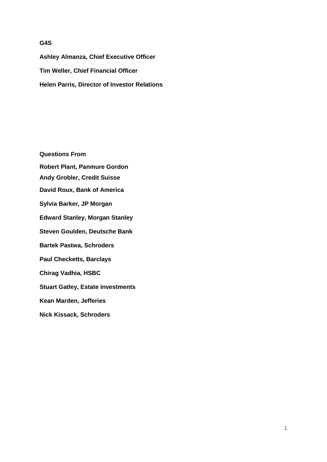### **G4S**

**Ashley Almanza, Chief Executive Officer Tim Weller, Chief Financial Officer Helen Parris, Director of Investor Relations**

**Questions From Robert Plant, Panmure Gordon Andy Grobler, Credit Suisse David Roux, Bank of America Sylvia Barker, JP Morgan Edward Stanley, Morgan Stanley Steven Goulden, Deutsche Bank Bartek Pastwa, Schroders Paul Checketts, Barclays Chirag Vadhia, HSBC Stuart Gatley, Estate Investments Kean Marden, Jefferies Nick Kissack, Schroders**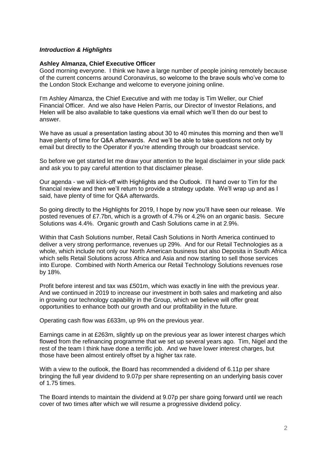### *Introduction & Highlights*

### **Ashley Almanza, Chief Executive Officer**

Good morning everyone. I think we have a large number of people joining remotely because of the current concerns around Coronavirus, so welcome to the brave souls who've come to the London Stock Exchange and welcome to everyone joining online.

I'm Ashley Almanza, the Chief Executive and with me today is Tim Weller, our Chief Financial Officer. And we also have Helen Parris, our Director of Investor Relations, and Helen will be also available to take questions via email which we'll then do our best to answer.

We have as usual a presentation lasting about 30 to 40 minutes this morning and then we'll have plenty of time for Q&A afterwards. And we'll be able to take questions not only by email but directly to the Operator if you're attending through our broadcast service.

So before we get started let me draw your attention to the legal disclaimer in your slide pack and ask you to pay careful attention to that disclaimer please.

Our agenda - we will kick-off with Highlights and the Outlook. I'll hand over to Tim for the financial review and then we'll return to provide a strategy update. We'll wrap up and as I said, have plenty of time for Q&A afterwards.

So going directly to the Highlights for 2019, I hope by now you'll have seen our release. We posted revenues of £7.7bn, which is a growth of 4.7% or 4.2% on an organic basis. Secure Solutions was 4.4%. Organic growth and Cash Solutions came in at 2.9%.

Within that Cash Solutions number, Retail Cash Solutions in North America continued to deliver a very strong performance, revenues up 29%. And for our Retail Technologies as a whole, which include not only our North American business but also Deposita in South Africa which sells Retail Solutions across Africa and Asia and now starting to sell those services into Europe. Combined with North America our Retail Technology Solutions revenues rose by 18%.

Profit before interest and tax was £501m, which was exactly in line with the previous year. And we continued in 2019 to increase our investment in both sales and marketing and also in growing our technology capability in the Group, which we believe will offer great opportunities to enhance both our growth and our profitability in the future.

Operating cash flow was £633m, up 9% on the previous year.

Earnings came in at £263m, slightly up on the previous year as lower interest charges which flowed from the refinancing programme that we set up several years ago. Tim, Nigel and the rest of the team I think have done a terrific job. And we have lower interest charges, but those have been almost entirely offset by a higher tax rate.

With a view to the outlook, the Board has recommended a dividend of 6.11p per share bringing the full year dividend to 9.07p per share representing on an underlying basis cover of 1.75 times.

The Board intends to maintain the dividend at 9.07p per share going forward until we reach cover of two times after which we will resume a progressive dividend policy.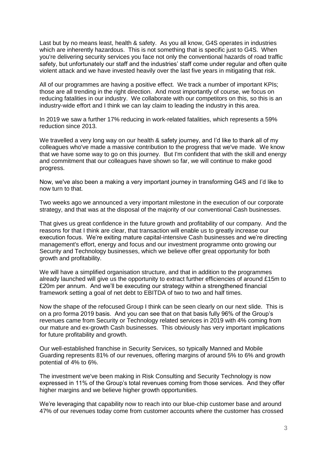Last but by no means least, health & safety. As you all know, G4S operates in industries which are inherently hazardous. This is not something that is specific just to G4S. When you're delivering security services you face not only the conventional hazards of road traffic safety, but unfortunately our staff and the industries' staff come under regular and often quite violent attack and we have invested heavily over the last five years in mitigating that risk.

All of our programmes are having a positive effect. We track a number of important KPIs; those are all trending in the right direction. And most importantly of course, we focus on reducing fatalities in our industry. We collaborate with our competitors on this, so this is an industry-wide effort and I think we can lay claim to leading the industry in this area.

In 2019 we saw a further 17% reducing in work-related fatalities, which represents a 59% reduction since 2013.

We travelled a very long way on our health & safety journey, and I'd like to thank all of my colleagues who've made a massive contribution to the progress that we've made. We know that we have some way to go on this journey. But I'm confident that with the skill and energy and commitment that our colleagues have shown so far, we will continue to make good progress.

Now, we've also been a making a very important journey in transforming G4S and I'd like to now turn to that.

Two weeks ago we announced a very important milestone in the execution of our corporate strategy, and that was at the disposal of the majority of our conventional Cash businesses.

That gives us great confidence in the future growth and profitability of our company. And the reasons for that I think are clear, that transaction will enable us to greatly increase our execution focus. We're exiting mature capital-intensive Cash businesses and we're directing management's effort, energy and focus and our investment programme onto growing our Security and Technology businesses, which we believe offer great opportunity for both growth and profitability.

We will have a simplified organisation structure, and that in addition to the programmes already launched will give us the opportunity to extract further efficiencies of around £15m to £20m per annum. And we'll be executing our strategy within a strengthened financial framework setting a goal of net debt to EBITDA of two to two and half times.

Now the shape of the refocused Group I think can be seen clearly on our next slide. This is on a pro forma 2019 basis. And you can see that on that basis fully 96% of the Group's revenues came from Security or Technology related services in 2019 with 4% coming from our mature and ex-growth Cash businesses. This obviously has very important implications for future profitability and growth.

Our well-established franchise in Security Services, so typically Manned and Mobile Guarding represents 81% of our revenues, offering margins of around 5% to 6% and growth potential of 4% to 6%.

The investment we've been making in Risk Consulting and Security Technology is now expressed in 11% of the Group's total revenues coming from those services. And they offer higher margins and we believe higher growth opportunities.

We're leveraging that capability now to reach into our blue-chip customer base and around 47% of our revenues today come from customer accounts where the customer has crossed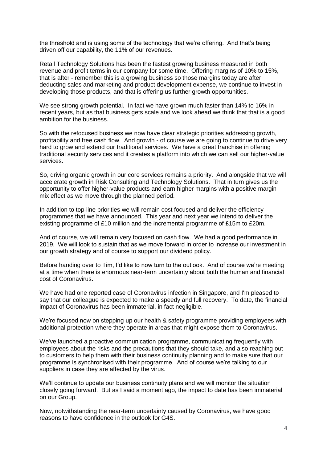the threshold and is using some of the technology that we're offering. And that's being driven off our capability, the 11% of our revenues.

Retail Technology Solutions has been the fastest growing business measured in both revenue and profit terms in our company for some time. Offering margins of 10% to 15%, that is after - remember this is a growing business so those margins today are after deducting sales and marketing and product development expense, we continue to invest in developing those products, and that is offering us further growth opportunities.

We see strong growth potential. In fact we have grown much faster than 14% to 16% in recent years, but as that business gets scale and we look ahead we think that that is a good ambition for the business.

So with the refocused business we now have clear strategic priorities addressing growth, profitability and free cash flow. And growth - of course we are going to continue to drive very hard to grow and extend our traditional services. We have a great franchise in offering traditional security services and it creates a platform into which we can sell our higher-value services.

So, driving organic growth in our core services remains a priority. And alongside that we will accelerate growth in Risk Consulting and Technology Solutions. That in turn gives us the opportunity to offer higher-value products and earn higher margins with a positive margin mix effect as we move through the planned period.

In addition to top-line priorities we will remain cost focused and deliver the efficiency programmes that we have announced. This year and next year we intend to deliver the existing programme of £10 million and the incremental programme of £15m to £20m.

And of course, we will remain very focused on cash flow. We had a good performance in 2019. We will look to sustain that as we move forward in order to increase our investment in our growth strategy and of course to support our dividend policy.

Before handing over to Tim, I'd like to now turn to the outlook. And of course we're meeting at a time when there is enormous near-term uncertainty about both the human and financial cost of Coronavirus.

We have had one reported case of Coronavirus infection in Singapore, and I'm pleased to say that our colleague is expected to make a speedy and full recovery. To date, the financial impact of Coronavirus has been immaterial, in fact negligible.

We're focused now on stepping up our health & safety programme providing employees with additional protection where they operate in areas that might expose them to Coronavirus.

We've launched a proactive communication programme, communicating frequently with employees about the risks and the precautions that they should take, and also reaching out to customers to help them with their business continuity planning and to make sure that our programme is synchronised with their programme. And of course we're talking to our suppliers in case they are affected by the virus.

We'll continue to update our business continuity plans and we will monitor the situation closely going forward. But as I said a moment ago, the impact to date has been immaterial on our Group.

Now, notwithstanding the near-term uncertainty caused by Coronavirus, we have good reasons to have confidence in the outlook for G4S.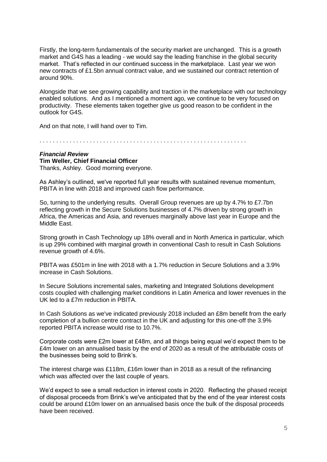Firstly, the long-term fundamentals of the security market are unchanged. This is a growth market and G4S has a leading - we would say the leading franchise in the global security market. That's reflected in our continued success in the marketplace. Last year we won new contracts of £1.5bn annual contract value, and we sustained our contract retention of around 90%.

Alongside that we see growing capability and traction in the marketplace with our technology enabled solutions. And as I mentioned a moment ago, we continue to be very focused on productivity. These elements taken together give us good reason to be confident in the outlook for G4S.

And on that note, I will hand over to Tim.

. . . . . . . . . . . . . . . . . . . . . . . . . . . . . . . . . . . . . . . . . . . . . . . . . . . . . . . . . . . . . .

## *Financial Review*  **Tim Weller, Chief Financial Officer**

Thanks, Ashley. Good morning everyone.

As Ashley's outlined, we've reported full year results with sustained revenue momentum, PBITA in line with 2018 and improved cash flow performance.

So, turning to the underlying results. Overall Group revenues are up by 4.7% to £7.7bn reflecting growth in the Secure Solutions businesses of 4.7% driven by strong growth in Africa, the Americas and Asia, and revenues marginally above last year in Europe and the Middle East.

Strong growth in Cash Technology up 18% overall and in North America in particular, which is up 29% combined with marginal growth in conventional Cash to result in Cash Solutions revenue growth of 4.6%.

PBITA was £501m in line with 2018 with a 1.7% reduction in Secure Solutions and a 3.9% increase in Cash Solutions.

In Secure Solutions incremental sales, marketing and Integrated Solutions development costs coupled with challenging market conditions in Latin America and lower revenues in the UK led to a £7m reduction in PBITA.

In Cash Solutions as we've indicated previously 2018 included an £8m benefit from the early completion of a bullion centre contract in the UK and adjusting for this one-off the 3.9% reported PBITA increase would rise to 10.7%.

Corporate costs were £2m lower at £48m, and all things being equal we'd expect them to be £4m lower on an annualised basis by the end of 2020 as a result of the attributable costs of the businesses being sold to Brink's.

The interest charge was £118m, £16m lower than in 2018 as a result of the refinancing which was affected over the last couple of years.

We'd expect to see a small reduction in interest costs in 2020. Reflecting the phased receipt of disposal proceeds from Brink's we've anticipated that by the end of the year interest costs could be around £10m lower on an annualised basis once the bulk of the disposal proceeds have been received.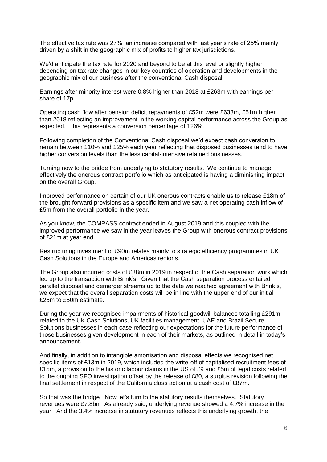The effective tax rate was 27%, an increase compared with last year's rate of 25% mainly driven by a shift in the geographic mix of profits to higher tax jurisdictions.

We'd anticipate the tax rate for 2020 and beyond to be at this level or slightly higher depending on tax rate changes in our key countries of operation and developments in the geographic mix of our business after the conventional Cash disposal.

Earnings after minority interest were 0.8% higher than 2018 at £263m with earnings per share of 17p.

Operating cash flow after pension deficit repayments of £52m were £633m, £51m higher than 2018 reflecting an improvement in the working capital performance across the Group as expected. This represents a conversion percentage of 126%.

Following completion of the Conventional Cash disposal we'd expect cash conversion to remain between 110% and 125% each year reflecting that disposed businesses tend to have higher conversion levels than the less capital-intensive retained businesses.

Turning now to the bridge from underlying to statutory results. We continue to manage effectively the onerous contract portfolio which as anticipated is having a diminishing impact on the overall Group.

Improved performance on certain of our UK onerous contracts enable us to release £18m of the brought-forward provisions as a specific item and we saw a net operating cash inflow of £5m from the overall portfolio in the year.

As you know, the COMPASS contract ended in August 2019 and this coupled with the improved performance we saw in the year leaves the Group with onerous contract provisions of £21m at year end.

Restructuring investment of £90m relates mainly to strategic efficiency programmes in UK Cash Solutions in the Europe and Americas regions.

The Group also incurred costs of £38m in 2019 in respect of the Cash separation work which led up to the transaction with Brink's. Given that the Cash separation process entailed parallel disposal and demerger streams up to the date we reached agreement with Brink's, we expect that the overall separation costs will be in line with the upper end of our initial £25m to £50m estimate.

During the year we recognised impairments of historical goodwill balances totalling £291m related to the UK Cash Solutions, UK facilities management, UAE and Brazil Secure Solutions businesses in each case reflecting our expectations for the future performance of those businesses given development in each of their markets, as outlined in detail in today's announcement.

And finally, in addition to intangible amortisation and disposal effects we recognised net specific items of £13m in 2019, which included the write-off of capitalised recruitment fees of £15m, a provision to the historic labour claims in the US of £9 and £5m of legal costs related to the ongoing SFO investigation offset by the release of £80, a surplus revision following the final settlement in respect of the California class action at a cash cost of £87m.

So that was the bridge. Now let's turn to the statutory results themselves. Statutory revenues were £7.8bn. As already said, underlying revenue showed a 4.7% increase in the year. And the 3.4% increase in statutory revenues reflects this underlying growth, the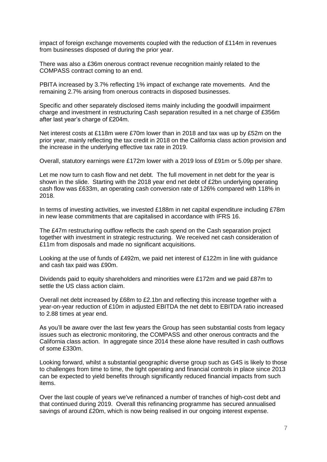impact of foreign exchange movements coupled with the reduction of £114m in revenues from businesses disposed of during the prior year.

There was also a £36m onerous contract revenue recognition mainly related to the COMPASS contract coming to an end.

PBITA increased by 3.7% reflecting 1% impact of exchange rate movements. And the remaining 2.7% arising from onerous contracts in disposed businesses.

Specific and other separately disclosed items mainly including the goodwill impairment charge and investment in restructuring Cash separation resulted in a net charge of £356m after last year's charge of £204m.

Net interest costs at £118m were £70m lower than in 2018 and tax was up by £52m on the prior year, mainly reflecting the tax credit in 2018 on the California class action provision and the increase in the underlying effective tax rate in 2019.

Overall, statutory earnings were £172m lower with a 2019 loss of £91m or 5.09p per share.

Let me now turn to cash flow and net debt. The full movement in net debt for the year is shown in the slide. Starting with the 2018 year end net debt of £2bn underlying operating cash flow was £633m, an operating cash conversion rate of 126% compared with 118% in 2018.

In terms of investing activities, we invested £188m in net capital expenditure including £78m in new lease commitments that are capitalised in accordance with IFRS 16.

The £47m restructuring outflow reflects the cash spend on the Cash separation project together with investment in strategic restructuring. We received net cash consideration of £11m from disposals and made no significant acquisitions.

Looking at the use of funds of £492m, we paid net interest of £122m in line with guidance and cash tax paid was £90m.

Dividends paid to equity shareholders and minorities were £172m and we paid £87m to settle the US class action claim.

Overall net debt increased by £68m to £2.1bn and reflecting this increase together with a year-on-year reduction of £10m in adjusted EBITDA the net debt to EBITDA ratio increased to 2.88 times at year end.

As you'll be aware over the last few years the Group has seen substantial costs from legacy issues such as electronic monitoring, the COMPASS and other onerous contracts and the California class action. In aggregate since 2014 these alone have resulted in cash outflows of some £330m.

Looking forward, whilst a substantial geographic diverse group such as G4S is likely to those to challenges from time to time, the tight operating and financial controls in place since 2013 can be expected to yield benefits through significantly reduced financial impacts from such items.

Over the last couple of years we've refinanced a number of tranches of high-cost debt and that continued during 2019. Overall this refinancing programme has secured annualised savings of around £20m, which is now being realised in our ongoing interest expense.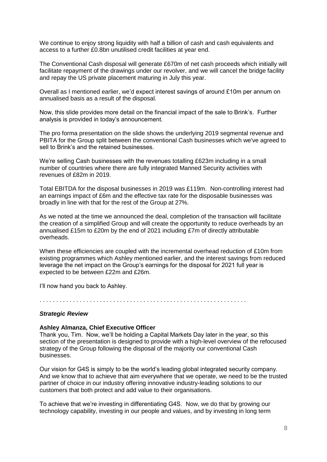We continue to enjoy strong liquidity with half a billion of cash and cash equivalents and access to a further £0.8bn unutilised credit facilities at year end.

The Conventional Cash disposal will generate £670m of net cash proceeds which initially will facilitate repayment of the drawings under our revolver, and we will cancel the bridge facility and repay the US private placement maturing in July this year.

Overall as I mentioned earlier, we'd expect interest savings of around £10m per annum on annualised basis as a result of the disposal.

Now, this slide provides more detail on the financial impact of the sale to Brink's. Further analysis is provided in today's announcement.

The pro forma presentation on the slide shows the underlying 2019 segmental revenue and PBITA for the Group split between the conventional Cash businesses which we've agreed to sell to Brink's and the retained businesses.

We're selling Cash businesses with the revenues totalling £623m including in a small number of countries where there are fully integrated Manned Security activities with revenues of £82m in 2019.

Total EBITDA for the disposal businesses in 2019 was £119m. Non-controlling interest had an earnings impact of £6m and the effective tax rate for the disposable businesses was broadly in line with that for the rest of the Group at 27%.

As we noted at the time we announced the deal, completion of the transaction will facilitate the creation of a simplified Group and will create the opportunity to reduce overheads by an annualised £15m to £20m by the end of 2021 including £7m of directly attributable overheads.

When these efficiencies are coupled with the incremental overhead reduction of £10m from existing programmes which Ashley mentioned earlier, and the interest savings from reduced leverage the net impact on the Group's earnings for the disposal for 2021 full year is expected to be between £22m and £26m.

I'll now hand you back to Ashley.

. . . . . . . . . . . . . . . . . . . . . . . . . . . . . . . . . . . . . . . . . . . . . . . . . . . . . . . . . . . . . .

#### *Strategic Review*

#### **Ashley Almanza, Chief Executive Officer**

Thank you, Tim. Now, we'll be holding a Capital Markets Day later in the year, so this section of the presentation is designed to provide with a high-level overview of the refocused strategy of the Group following the disposal of the majority our conventional Cash businesses.

Our vision for G4S is simply to be the world's leading global integrated security company. And we know that to achieve that aim everywhere that we operate, we need to be the trusted partner of choice in our industry offering innovative industry-leading solutions to our customers that both protect and add value to their organisations.

To achieve that we're investing in differentiating G4S. Now, we do that by growing our technology capability, investing in our people and values, and by investing in long term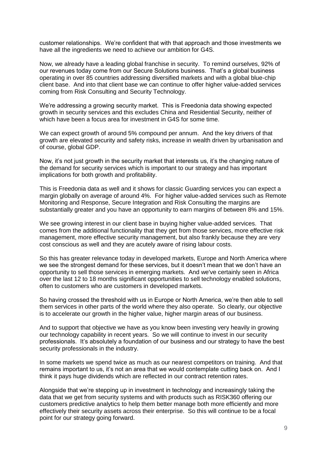customer relationships. We're confident that with that approach and those investments we have all the ingredients we need to achieve our ambition for G4S.

Now, we already have a leading global franchise in security. To remind ourselves, 92% of our revenues today come from our Secure Solutions business. That's a global business operating in over 85 countries addressing diversified markets and with a global blue-chip client base. And into that client base we can continue to offer higher value-added services coming from Risk Consulting and Security Technology.

We're addressing a growing security market. This is Freedonia data showing expected growth in security services and this excludes China and Residential Security, neither of which have been a focus area for investment in G4S for some time.

We can expect growth of around 5% compound per annum. And the key drivers of that growth are elevated security and safety risks, increase in wealth driven by urbanisation and of course, global GDP.

Now, it's not just growth in the security market that interests us, it's the changing nature of the demand for security services which is important to our strategy and has important implications for both growth and profitability.

This is Freedonia data as well and it shows for classic Guarding services you can expect a margin globally on average of around 4%. For higher value-added services such as Remote Monitoring and Response, Secure Integration and Risk Consulting the margins are substantially greater and you have an opportunity to earn margins of between 8% and 15%.

We see growing interest in our client base in buying higher value-added services. That comes from the additional functionality that they get from those services, more effective risk management, more effective security management, but also frankly because they are very cost conscious as well and they are acutely aware of rising labour costs.

So this has greater relevance today in developed markets, Europe and North America where we see the strongest demand for these services, but it doesn't mean that we don't have an opportunity to sell those services in emerging markets. And we've certainly seen in Africa over the last 12 to 18 months significant opportunities to sell technology enabled solutions, often to customers who are customers in developed markets.

So having crossed the threshold with us in Europe or North America, we're then able to sell them services in other parts of the world where they also operate. So clearly, our objective is to accelerate our growth in the higher value, higher margin areas of our business.

And to support that objective we have as you know been investing very heavily in growing our technology capability in recent years. So we will continue to invest in our security professionals. It's absolutely a foundation of our business and our strategy to have the best security professionals in the industry.

In some markets we spend twice as much as our nearest competitors on training. And that remains important to us, it's not an area that we would contemplate cutting back on. And I think it pays huge dividends which are reflected in our contract retention rates.

Alongside that we're stepping up in investment in technology and increasingly taking the data that we get from security systems and with products such as RISK360 offering our customers predictive analytics to help them better manage both more efficiently and more effectively their security assets across their enterprise. So this will continue to be a focal point for our strategy going forward.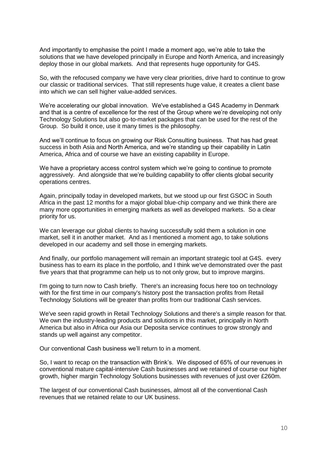And importantly to emphasise the point I made a moment ago, we're able to take the solutions that we have developed principally in Europe and North America, and increasingly deploy those in our global markets. And that represents huge opportunity for G4S.

So, with the refocused company we have very clear priorities, drive hard to continue to grow our classic or traditional services. That still represents huge value, it creates a client base into which we can sell higher value-added services.

We're accelerating our global innovation. We've established a G4S Academy in Denmark and that is a centre of excellence for the rest of the Group where we're developing not only Technology Solutions but also go-to-market packages that can be used for the rest of the Group. So build it once, use it many times is the philosophy.

And we'll continue to focus on growing our Risk Consulting business. That has had great success in both Asia and North America, and we're standing up their capability in Latin America, Africa and of course we have an existing capability in Europe.

We have a proprietary access control system which we're going to continue to promote aggressively. And alongside that we're building capability to offer clients global security operations centres.

Again, principally today in developed markets, but we stood up our first GSOC in South Africa in the past 12 months for a major global blue-chip company and we think there are many more opportunities in emerging markets as well as developed markets. So a clear priority for us.

We can leverage our global clients to having successfully sold them a solution in one market, sell it in another market. And as I mentioned a moment ago, to take solutions developed in our academy and sell those in emerging markets.

And finally, our portfolio management will remain an important strategic tool at G4S. every business has to earn its place in the portfolio, and I think we've demonstrated over the past five years that that programme can help us to not only grow, but to improve margins.

I'm going to turn now to Cash briefly. There's an increasing focus here too on technology with for the first time in our company's history post the transaction profits from Retail Technology Solutions will be greater than profits from our traditional Cash services.

We've seen rapid growth in Retail Technology Solutions and there's a simple reason for that. We own the industry-leading products and solutions in this market, principally in North America but also in Africa our Asia our Deposita service continues to grow strongly and stands up well against any competitor.

Our conventional Cash business we'll return to in a moment.

So, I want to recap on the transaction with Brink's. We disposed of 65% of our revenues in conventional mature capital-intensive Cash businesses and we retained of course our higher growth, higher margin Technology Solutions businesses with revenues of just over £260m.

The largest of our conventional Cash businesses, almost all of the conventional Cash revenues that we retained relate to our UK business.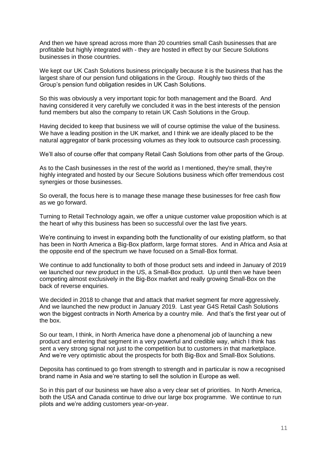And then we have spread across more than 20 countries small Cash businesses that are profitable but highly integrated with - they are hosted in effect by our Secure Solutions businesses in those countries.

We kept our UK Cash Solutions business principally because it is the business that has the largest share of our pension fund obligations in the Group. Roughly two thirds of the Group's pension fund obligation resides in UK Cash Solutions.

So this was obviously a very important topic for both management and the Board. And having considered it very carefully we concluded it was in the best interests of the pension fund members but also the company to retain UK Cash Solutions in the Group.

Having decided to keep that business we will of course optimise the value of the business. We have a leading position in the UK market, and I think we are ideally placed to be the natural aggregator of bank processing volumes as they look to outsource cash processing.

We'll also of course offer that company Retail Cash Solutions from other parts of the Group.

As to the Cash businesses in the rest of the world as I mentioned, they're small, they're highly integrated and hosted by our Secure Solutions business which offer tremendous cost synergies or those businesses.

So overall, the focus here is to manage these manage these businesses for free cash flow as we go forward.

Turning to Retail Technology again, we offer a unique customer value proposition which is at the heart of why this business has been so successful over the last five years.

We're continuing to invest in expanding both the functionality of our existing platform, so that has been in North America a Big-Box platform, large format stores. And in Africa and Asia at the opposite end of the spectrum we have focused on a Small-Box format.

We continue to add functionality to both of those product sets and indeed in January of 2019 we launched our new product in the US, a Small-Box product. Up until then we have been competing almost exclusively in the Big-Box market and really growing Small-Box on the back of reverse enquiries.

We decided in 2018 to change that and attack that market segment far more aggressively. And we launched the new product in January 2019. Last year G4S Retail Cash Solutions won the biggest contracts in North America by a country mile. And that's the first year out of the box.

So our team, I think, in North America have done a phenomenal job of launching a new product and entering that segment in a very powerful and credible way, which I think has sent a very strong signal not just to the competition but to customers in that marketplace. And we're very optimistic about the prospects for both Big-Box and Small-Box Solutions.

Deposita has continued to go from strength to strength and in particular is now a recognised brand name in Asia and we're starting to sell the solution in Europe as well.

So in this part of our business we have also a very clear set of priorities. In North America, both the USA and Canada continue to drive our large box programme. We continue to run pilots and we're adding customers year-on-year.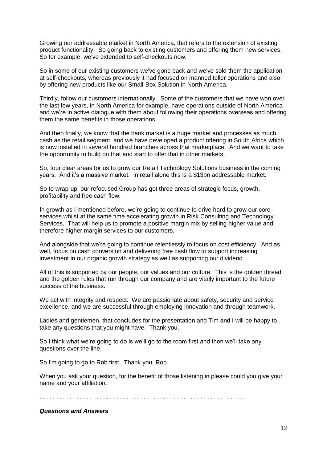Growing our addressable market in North America, that refers to the extension of existing product functionality. So going back to existing customers and offering them new services. So for example, we've extended to self-checkouts now.

So in some of our existing customers we've gone back and we've sold them the application at self-checkouts, whereas previously it had focused on manned teller operations and also by offering new products like our Small-Box Solution in North America.

Thirdly, follow our customers internationally. Some of the customers that we have won over the last few years, in North America for example, have operations outside of North America and we're in active dialogue with them about following their operations overseas and offering them the same benefits in those operations.

And then finally, we know that the bank market is a huge market and processes as much cash as the retail segment, and we have developed a product offering in South Africa which is now installed in several hundred branches across that marketplace. And we want to take the opportunity to build on that and start to offer that in other markets.

So, four clear areas for us to grow our Retail Technology Solutions business in the coming years. And it's a massive market. In retail alone this is a \$13bn addressable market.

So to wrap-up, our refocused Group has got three areas of strategic focus, growth, profitability and free cash flow.

In growth as I mentioned before, we're going to continue to drive hard to grow our core services whilst at the same time accelerating growth in Risk Consulting and Technology Services. That will help us to promote a positive margin mix by selling higher value and therefore higher margin services to our customers.

And alongside that we're going to continue relentlessly to focus on cost efficiency. And as well, focus on cash conversion and delivering free cash flow to support increasing investment in our organic growth strategy as well as supporting our dividend.

All of this is supported by our people, our values and our culture. This is the golden thread and the golden rules that run through our company and are vitally important to the future success of the business.

We act with integrity and respect. We are passionate about safety, security and service excellence, and we are successful through employing innovation and through teamwork.

Ladies and gentlemen, that concludes for the presentation and Tim and I will be happy to take any questions that you might have. Thank you.

So I think what we're going to do is we'll go to the room first and then we'll take any questions over the line.

So I'm going to go to Rob first. Thank you, Rob.

When you ask your question, for the benefit of those listening in please could you give your name and your affiliation.

. . . . . . . . . . . . . . . . . . . . . . . . . . . . . . . . . . . . . . . . . . . . . . . . . . . . . . . . . . . . . .

### *Questions and Answers*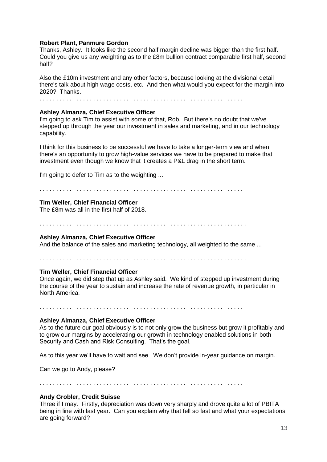### **Robert Plant, Panmure Gordon**

Thanks, Ashley. It looks like the second half margin decline was bigger than the first half. Could you give us any weighting as to the £8m bullion contract comparable first half, second half?

Also the £10m investment and any other factors, because looking at the divisional detail there's talk about high wage costs, etc. And then what would you expect for the margin into 2020? Thanks.

. . . . . . . . . . . . . . . . . . . . . . . . . . . . . . . . . . . . . . . . . . . . . . . . . . . . . . . . . . . . . .

### **Ashley Almanza, Chief Executive Officer**

I'm going to ask Tim to assist with some of that, Rob. But there's no doubt that we've stepped up through the year our investment in sales and marketing, and in our technology capability.

I think for this business to be successful we have to take a longer-term view and when there's an opportunity to grow high-value services we have to be prepared to make that investment even though we know that it creates a P&L drag in the short term.

I'm going to defer to Tim as to the weighting ...

. . . . . . . . . . . . . . . . . . . . . . . . . . . . . . . . . . . . . . . . . . . . . . . . . . . . . . . . . . . . . .

#### **Tim Weller, Chief Financial Officer**

The £8m was all in the first half of 2018.

. . . . . . . . . . . . . . . . . . . . . . . . . . . . . . . . . . . . . . . . . . . . . . . . . . . . . . . . . . . . . .

### **Ashley Almanza, Chief Executive Officer**

And the balance of the sales and marketing technology, all weighted to the same ...

. . . . . . . . . . . . . . . . . . . . . . . . . . . . . . . . . . . . . . . . . . . . . . . . . . . . . . . . . . . . . .

#### **Tim Weller, Chief Financial Officer**

Once again, we did step that up as Ashley said. We kind of stepped up investment during the course of the year to sustain and increase the rate of revenue growth, in particular in North America.

. . . . . . . . . . . . . . . . . . . . . . . . . . . . . . . . . . . . . . . . . . . . . . . . . . . . . . . . . . . . . .

### **Ashley Almanza, Chief Executive Officer**

As to the future our goal obviously is to not only grow the business but grow it profitably and to grow our margins by accelerating our growth in technology enabled solutions in both Security and Cash and Risk Consulting. That's the goal.

As to this year we'll have to wait and see. We don't provide in-year guidance on margin.

Can we go to Andy, please?

. . . . . . . . . . . . . . . . . . . . . . . . . . . . . . . . . . . . . . . . . . . . . . . . . . . . . . . . . . . . . .

### **Andy Grobler, Credit Suisse**

Three if I may. Firstly, depreciation was down very sharply and drove quite a lot of PBITA being in line with last year. Can you explain why that fell so fast and what your expectations are going forward?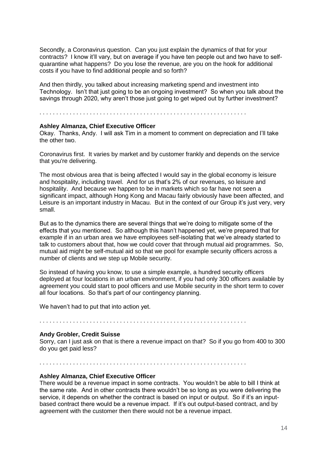Secondly, a Coronavirus question. Can you just explain the dynamics of that for your contracts? I know it'll vary, but on average if you have ten people out and two have to selfquarantine what happens? Do you lose the revenue, are you on the hook for additional costs if you have to find additional people and so forth?

And then thirdly, you talked about increasing marketing spend and investment into Technology. Isn't that just going to be an ongoing investment? So when you talk about the savings through 2020, why aren't those just going to get wiped out by further investment?

. . . . . . . . . . . . . . . . . . . . . . . . . . . . . . . . . . . . . . . . . . . . . . . . . . . . . . . . . . . . . .

### **Ashley Almanza, Chief Executive Officer**

Okay. Thanks, Andy. I will ask Tim in a moment to comment on depreciation and I'll take the other two.

Coronavirus first. It varies by market and by customer frankly and depends on the service that you're delivering.

The most obvious area that is being affected I would say in the global economy is leisure and hospitality, including travel. And for us that's 2% of our revenues, so leisure and hospitality. And because we happen to be in markets which so far have not seen a significant impact, although Hong Kong and Macau fairly obviously have been affected, and Leisure is an important industry in Macau. But in the context of our Group it's just very, very small.

But as to the dynamics there are several things that we're doing to mitigate some of the effects that you mentioned. So although this hasn't happened yet, we're prepared that for example if in an urban area we have employees self-isolating that we've already started to talk to customers about that, how we could cover that through mutual aid programmes. So, mutual aid might be self-mutual aid so that we pool for example security officers across a number of clients and we step up Mobile security.

So instead of having you know, to use a simple example, a hundred security officers deployed at four locations in an urban environment, if you had only 300 officers available by agreement you could start to pool officers and use Mobile security in the short term to cover all four locations. So that's part of our contingency planning.

We haven't had to put that into action yet.

. . . . . . . . . . . . . . . . . . . . . . . . . . . . . . . . . . . . . . . . . . . . . . . . . . . . . . . . . . . . . .

### **Andy Grobler, Credit Suisse**

Sorry, can I just ask on that is there a revenue impact on that? So if you go from 400 to 300 do you get paid less?

. . . . . . . . . . . . . . . . . . . . . . . . . . . . . . . . . . . . . . . . . . . . . . . . . . . . . . . . . . . . . .

### **Ashley Almanza, Chief Executive Officer**

There would be a revenue impact in some contracts. You wouldn't be able to bill I think at the same rate. And in other contracts there wouldn't be so long as you were delivering the service, it depends on whether the contract is based on input or output. So if it's an inputbased contract there would be a revenue impact. If it's out output-based contract, and by agreement with the customer then there would not be a revenue impact.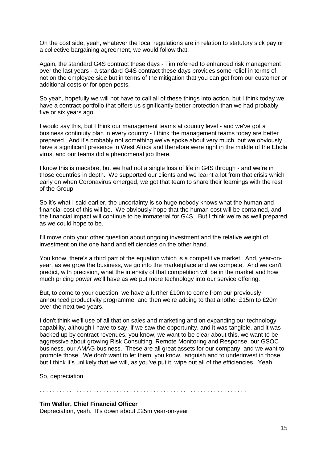On the cost side, yeah, whatever the local regulations are in relation to statutory sick pay or a collective bargaining agreement, we would follow that.

Again, the standard G4S contract these days - Tim referred to enhanced risk management over the last years - a standard G4S contract these days provides some relief in terms of, not on the employee side but in terms of the mitigation that you can get from our customer or additional costs or for open posts.

So yeah, hopefully we will not have to call all of these things into action, but I think today we have a contract portfolio that offers us significantly better protection than we had probably five or six years ago.

I would say this, but I think our management teams at country level - and we've got a business continuity plan in every country - I think the management teams today are better prepared. And it's probably not something we've spoke about very much, but we obviously have a significant presence in West Africa and therefore were right in the middle of the Ebola virus, and our teams did a phenomenal job there.

I know this is macabre, but we had not a single loss of life in G4S through - and we're in those countries in depth. We supported our clients and we learnt a lot from that crisis which early on when Coronavirus emerged, we got that team to share their learnings with the rest of the Group.

So it's what I said earlier, the uncertainty is so huge nobody knows what the human and financial cost of this will be. We obviously hope that the human cost will be contained, and the financial impact will continue to be immaterial for G4S. But I think we're as well prepared as we could hope to be.

I'll move onto your other question about ongoing investment and the relative weight of investment on the one hand and efficiencies on the other hand.

You know, there's a third part of the equation which is a competitive market. And, year-onyear, as we grow the business, we go into the marketplace and we compete. And we can't predict, with precision, what the intensity of that competition will be in the market and how much pricing power we'll have as we put more technology into our service offering.

But, to come to your question, we have a further £10m to come from our previously announced productivity programme, and then we're adding to that another £15m to £20m over the next two years.

I don't think we'll use of all that on sales and marketing and on expanding our technology capability, although I have to say, if we saw the opportunity, and it was tangible, and it was backed up by contract revenues, you know, we want to be clear about this, we want to be aggressive about growing Risk Consulting, Remote Monitoring and Response, our GSOC business, our AMAG business. These are all great assets for our company, and we want to promote those. We don't want to let them, you know, languish and to underinvest in those, but I think it's unlikely that we will, as you've put it, wipe out all of the efficiencies. Yeah.

So, depreciation.

. . . . . . . . . . . . . . . . . . . . . . . . . . . . . . . . . . . . . . . . . . . . . . . . . . . . . . . . . . . . . .

#### **Tim Weller, Chief Financial Officer**

Depreciation, yeah. It's down about £25m year-on-year.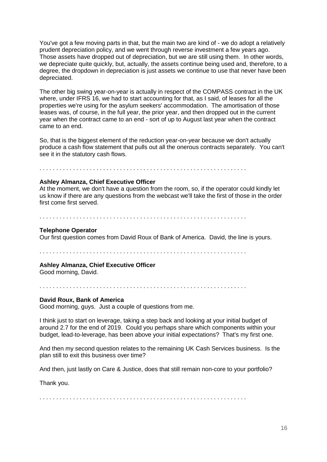You've got a few moving parts in that, but the main two are kind of - we do adopt a relatively prudent depreciation policy, and we went through reverse investment a few years ago. Those assets have dropped out of depreciation, but we are still using them. In other words, we depreciate quite quickly, but, actually, the assets continue being used and, therefore, to a degree, the dropdown in depreciation is just assets we continue to use that never have been depreciated.

The other big swing year-on-year is actually in respect of the COMPASS contract in the UK where, under IFRS 16, we had to start accounting for that, as I said, of leases for all the properties we're using for the asylum seekers' accommodation. The amortisation of those leases was, of course, in the full year, the prior year, and then dropped out in the current year when the contract came to an end - sort of up to August last year when the contract came to an end.

So, that is the biggest element of the reduction year-on-year because we don't actually produce a cash flow statement that pulls out all the onerous contracts separately. You can't see it in the statutory cash flows.

. . . . . . . . . . . . . . . . . . . . . . . . . . . . . . . . . . . . . . . . . . . . . . . . . . . . . . . . . . . . . .

### **Ashley Almanza, Chief Executive Officer**

At the moment, we don't have a question from the room, so, if the operator could kindly let us know if there are any questions from the webcast we'll take the first of those in the order first come first served.

. . . . . . . . . . . . . . . . . . . . . . . . . . . . . . . . . . . . . . . . . . . . . . . . . . . . . . . . . . . . . .

#### **Telephone Operator**

Our first question comes from David Roux of Bank of America. David, the line is yours.

. . . . . . . . . . . . . . . . . . . . . . . . . . . . . . . . . . . . . . . . . . . . . . . . . . . . . . . . . . . . . .

### **Ashley Almanza, Chief Executive Officer**

Good morning, David.

. . . . . . . . . . . . . . . . . . . . . . . . . . . . . . . . . . . . . . . . . . . . . . . . . . . . . . . . . . . . . .

### **David Roux, Bank of America**

Good morning, guys. Just a couple of questions from me.

I think just to start on leverage, taking a step back and looking at your initial budget of around 2.7 for the end of 2019. Could you perhaps share which components within your budget, lead-to-leverage, has been above your initial expectations? That's my first one.

And then my second question relates to the remaining UK Cash Services business. Is the plan still to exit this business over time?

And then, just lastly on Care & Justice, does that still remain non-core to your portfolio?

Thank you.

. . . . . . . . . . . . . . . . . . . . . . . . . . . . . . . . . . . . . . . . . . . . . . . . . . . . . . . . . . . . . .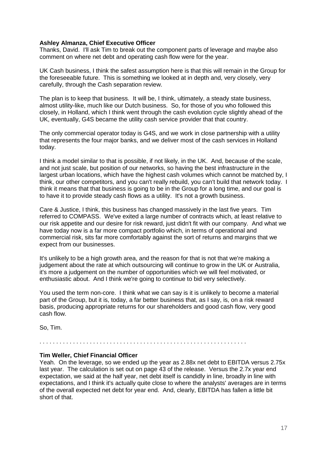### **Ashley Almanza, Chief Executive Officer**

Thanks, David. I'll ask Tim to break out the component parts of leverage and maybe also comment on where net debt and operating cash flow were for the year.

UK Cash business, I think the safest assumption here is that this will remain in the Group for the foreseeable future. This is something we looked at in depth and, very closely, very carefully, through the Cash separation review.

The plan is to keep that business. It will be, I think, ultimately, a steady state business, almost utility-like, much like our Dutch business. So, for those of you who followed this closely, in Holland, which I think went through the cash evolution cycle slightly ahead of the UK, eventually, G4S became the utility cash service provider that that country.

The only commercial operator today is G4S, and we work in close partnership with a utility that represents the four major banks, and we deliver most of the cash services in Holland today.

I think a model similar to that is possible, if not likely, in the UK. And, because of the scale, and not just scale, but position of our networks, so having the best infrastructure in the largest urban locations, which have the highest cash volumes which cannot be matched by, I think, our other competitors, and you can't really rebuild, you can't build that network today. I think it means that that business is going to be in the Group for a long time, and our goal is to have it to provide steady cash flows as a utility. It's not a growth business.

Care & Justice, I think, this business has changed massively in the last five years. Tim referred to COMPASS. We've exited a large number of contracts which, at least relative to our risk appetite and our desire for risk reward, just didn't fit with our company. And what we have today now is a far more compact portfolio which, in terms of operational and commercial risk, sits far more comfortably against the sort of returns and margins that we expect from our businesses.

It's unlikely to be a high growth area, and the reason for that is not that we're making a judgement about the rate at which outsourcing will continue to grow in the UK or Australia, it's more a judgement on the number of opportunities which we will feel motivated, or enthusiastic about. And I think we're going to continue to bid very selectively.

You used the term non-core. I think what we can say is it is unlikely to become a material part of the Group, but it is, today, a far better business that, as I say, is, on a risk reward basis, producing appropriate returns for our shareholders and good cash flow, very good cash flow.

So, Tim.

. . . . . . . . . . . . . . . . . . . . . . . . . . . . . . . . . . . . . . . . . . . . . . . . . . . . . . . . . . . . . .

### **Tim Weller, Chief Financial Officer**

Yeah. On the leverage, so we ended up the year as 2.88x net debt to EBITDA versus 2.75x last year. The calculation is set out on page 43 of the release. Versus the 2.7x year end expectation, we said at the half year, net debt itself is candidly in line, broadly in line with expectations, and I think it's actually quite close to where the analysts' averages are in terms of the overall expected net debt for year end. And, clearly, EBITDA has fallen a little bit short of that.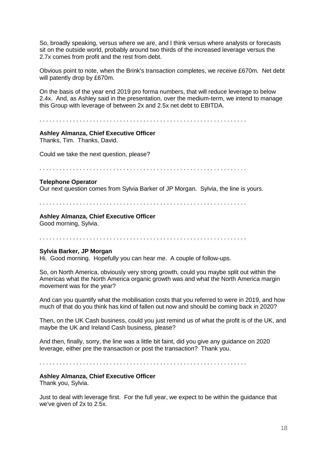So, broadly speaking, versus where we are, and I think versus where analysts or forecasts sit on the outside world, probably around two thirds of the increased leverage versus the 2.7x comes from profit and the rest from debt.

Obvious point to note, when the Brink's transaction completes, we receive £670m. Net debt will patently drop by £670m.

On the basis of the year end 2019 pro forma numbers, that will reduce leverage to below 2.4x. And, as Ashley said in the presentation, over the medium-term, we intend to manage this Group with leverage of between 2x and 2.5x net debt to EBITDA.

. . . . . . . . . . . . . . . . . . . . . . . . . . . . . . . . . . . . . . . . . . . . . . . . . . . . . . . . . . . . . .

### **Ashley Almanza, Chief Executive Officer**

Thanks, Tim. Thanks, David.

Could we take the next question, please?

. . . . . . . . . . . . . . . . . . . . . . . . . . . . . . . . . . . . . . . . . . . . . . . . . . . . . . . . . . . . . .

### **Telephone Operator**

Our next question comes from Sylvia Barker of JP Morgan. Sylvia, the line is yours.

. . . . . . . . . . . . . . . . . . . . . . . . . . . . . . . . . . . . . . . . . . . . . . . . . . . . . . . . . . . . . .

### **Ashley Almanza, Chief Executive Officer**

Good morning, Sylvia.

. . . . . . . . . . . . . . . . . . . . . . . . . . . . . . . . . . . . . . . . . . . . . . . . . . . . . . . . . . . . . .

### **Sylvia Barker, JP Morgan**

Hi. Good morning. Hopefully you can hear me. A couple of follow-ups.

So, on North America, obviously very strong growth, could you maybe split out within the Americas what the North America organic growth was and what the North America margin movement was for the year?

And can you quantify what the mobilisation costs that you referred to were in 2019, and how much of that do you think has kind of fallen out now and should be coming back in 2020?

Then, on the UK Cash business, could you just remind us of what the profit is of the UK, and maybe the UK and Ireland Cash business, please?

And then, finally, sorry, the line was a little bit faint, did you give any guidance on 2020 leverage, either pre the transaction or post the transaction? Thank you.

. . . . . . . . . . . . . . . . . . . . . . . . . . . . . . . . . . . . . . . . . . . . . . . . . . . . . . . . . . . . . .

### **Ashley Almanza, Chief Executive Officer**

Thank you, Sylvia.

Just to deal with leverage first. For the full year, we expect to be within the guidance that we've given of 2x to 2.5x.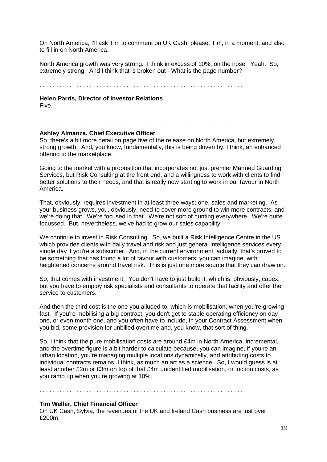On North America, I'll ask Tim to comment on UK Cash, please, Tim, in a moment, and also to fill in on North America.

North America growth was very strong. I think in excess of 10%, on the nose. Yeah. So, extremely strong. And I think that is broken out - What is the page number?

. . . . . . . . . . . . . . . . . . . . . . . . . . . . . . . . . . . . . . . . . . . . . . . . . . . . . . . . . . . . . .

**Helen Parris, Director of Investor Relations** 

Five.

. . . . . . . . . . . . . . . . . . . . . . . . . . . . . . . . . . . . . . . . . . . . . . . . . . . . . . . . . . . . . .

### **Ashley Almanza, Chief Executive Officer**

So, there's a bit more detail on page five of the release on North America, but extremely strong growth. And, you know, fundamentally, this is being driven by, I think, an enhanced offering to the marketplace.

Going to the market with a proposition that incorporates not just premier Manned Guarding Services, but Risk Consulting at the front end, and a willingness to work with clients to find better solutions to their needs, and that is really now starting to work in our favour in North America.

That, obviously, requires investment in at least three ways; one, sales and marketing. As your business grows, you, obviously, need to cover more ground to win more contracts, and we're doing that. We're focused in that. We're not sort of hunting everywhere. We're quite focussed. But, nevertheless, we've had to grow our sales capability.

We continue to invest in Risk Consulting. So, we built a Risk Intelligence Centre in the US which provides clients with daily travel and risk and just general intelligence services every single day if you're a subscriber. And, in the current environment, actually, that's proved to be something that has found a lot of favour with customers, you can imagine, with heightened concerns around travel risk. This is just one more source that they can draw on.

So, that comes with investment. You don't have to just build it, which is, obviously, capex, but you have to employ risk specialists and consultants to operate that facility and offer the service to customers.

And then the third cost is the one you alluded to, which is mobilisation, when you're growing fast. If you're mobilising a big contract, you don't get to stable operating efficiency on day one, or even month one, and you often have to include, in your Contract Assessment when you bid, some provision for unbilled overtime and, you know, that sort of thing.

So, I think that the pure mobilisation costs are around £4m in North America, incremental, and the overtime figure is a bit harder to calculate because, you can imagine, if you're an urban location, you're managing multiple locations dynamically, and attributing costs to individual contracts remains, I think, as much an art as a science. So, I would guess is at least another £2m or £3m on top of that £4m unidentified mobilisation, or friction costs, as you ramp up when you're growing at 10%.

. . . . . . . . . . . . . . . . . . . . . . . . . . . . . . . . . . . . . . . . . . . . . . . . . . . . . . . . . . . . . .

### **Tim Weller, Chief Financial Officer**

On UK Cash, Sylvia, the revenues of the UK and Ireland Cash business are just over £200m.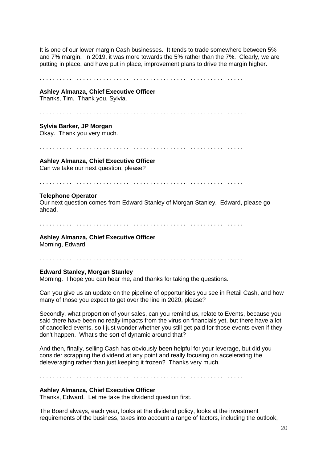It is one of our lower margin Cash businesses. It tends to trade somewhere between 5% and 7% margin. In 2019, it was more towards the 5% rather than the 7%. Clearly, we are putting in place, and have put in place, improvement plans to drive the margin higher.

. . . . . . . . . . . . . . . . . . . . . . . . . . . . . . . . . . . . . . . . . . . . . . . . . . . . . . . . . . . . . .

#### **Ashley Almanza, Chief Executive Officer**

Thanks, Tim. Thank you, Sylvia.

. . . . . . . . . . . . . . . . . . . . . . . . . . . . . . . . . . . . . . . . . . . . . . . . . . . . . . . . . . . . . .

### **Sylvia Barker, JP Morgan**

Okay. Thank you very much.

. . . . . . . . . . . . . . . . . . . . . . . . . . . . . . . . . . . . . . . . . . . . . . . . . . . . . . . . . . . . . .

#### **Ashley Almanza, Chief Executive Officer**

Can we take our next question, please?

. . . . . . . . . . . . . . . . . . . . . . . . . . . . . . . . . . . . . . . . . . . . . . . . . . . . . . . . . . . . . .

#### **Telephone Operator**

Our next question comes from Edward Stanley of Morgan Stanley. Edward, please go ahead.

. . . . . . . . . . . . . . . . . . . . . . . . . . . . . . . . . . . . . . . . . . . . . . . . . . . . . . . . . . . . . .

### **Ashley Almanza, Chief Executive Officer**

Morning, Edward.

#### . . . . . . . . . . . . . . . . . . . . . . . . . . . . . . . . . . . . . . . . . . . . . . . . . . . . . . . . . . . . . .

#### **Edward Stanley, Morgan Stanley**

Morning. I hope you can hear me, and thanks for taking the questions.

Can you give us an update on the pipeline of opportunities you see in Retail Cash, and how many of those you expect to get over the line in 2020, please?

Secondly, what proportion of your sales, can you remind us, relate to Events, because you said there have been no really impacts from the virus on financials yet, but there have a lot of cancelled events, so I just wonder whether you still get paid for those events even if they don't happen. What's the sort of dynamic around that?

And then, finally, selling Cash has obviously been helpful for your leverage, but did you consider scrapping the dividend at any point and really focusing on accelerating the deleveraging rather than just keeping it frozen? Thanks very much.

. . . . . . . . . . . . . . . . . . . . . . . . . . . . . . . . . . . . . . . . . . . . . . . . . . . . . . . . . . . . . .

### **Ashley Almanza, Chief Executive Officer**

Thanks, Edward. Let me take the dividend question first.

The Board always, each year, looks at the dividend policy, looks at the investment requirements of the business, takes into account a range of factors, including the outlook,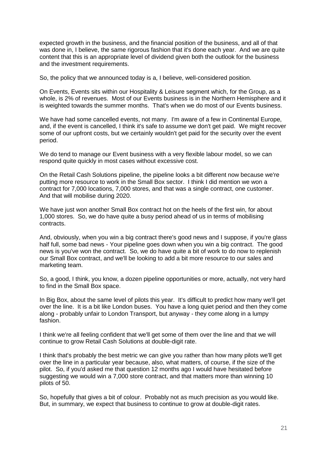expected growth in the business, and the financial position of the business, and all of that was done in, I believe, the same rigorous fashion that it's done each year. And we are quite content that this is an appropriate level of dividend given both the outlook for the business and the investment requirements.

So, the policy that we announced today is a, I believe, well-considered position.

On Events, Events sits within our Hospitality & Leisure segment which, for the Group, as a whole, is 2% of revenues. Most of our Events business is in the Northern Hemisphere and it is weighted towards the summer months. That's when we do most of our Events business.

We have had some cancelled events, not many. I'm aware of a few in Continental Europe, and, if the event is cancelled, I think it's safe to assume we don't get paid. We might recover some of our upfront costs, but we certainly wouldn't get paid for the security over the event period.

We do tend to manage our Event business with a very flexible labour model, so we can respond quite quickly in most cases without excessive cost.

On the Retail Cash Solutions pipeline, the pipeline looks a bit different now because we're putting more resource to work in the Small Box sector. I think I did mention we won a contract for 7,000 locations, 7,000 stores, and that was a single contract, one customer. And that will mobilise during 2020.

We have just won another Small Box contract hot on the heels of the first win, for about 1,000 stores. So, we do have quite a busy period ahead of us in terms of mobilising contracts.

And, obviously, when you win a big contract there's good news and I suppose, if you're glass half full, some bad news - Your pipeline goes down when you win a big contract. The good news is you've won the contract. So, we do have quite a bit of work to do now to replenish our Small Box contract, and we'll be looking to add a bit more resource to our sales and marketing team.

So, a good, I think, you know, a dozen pipeline opportunities or more, actually, not very hard to find in the Small Box space.

In Big Box, about the same level of pilots this year. It's difficult to predict how many we'll get over the line. It is a bit like London buses. You have a long quiet period and then they come along - probably unfair to London Transport, but anyway - they come along in a lumpy fashion.

I think we're all feeling confident that we'll get some of them over the line and that we will continue to grow Retail Cash Solutions at double-digit rate.

I think that's probably the best metric we can give you rather than how many pilots we'll get over the line in a particular year because, also, what matters, of course, if the size of the pilot. So, if you'd asked me that question 12 months ago I would have hesitated before suggesting we would win a 7,000 store contract, and that matters more than winning 10 pilots of 50.

So, hopefully that gives a bit of colour. Probably not as much precision as you would like. But, in summary, we expect that business to continue to grow at double-digit rates.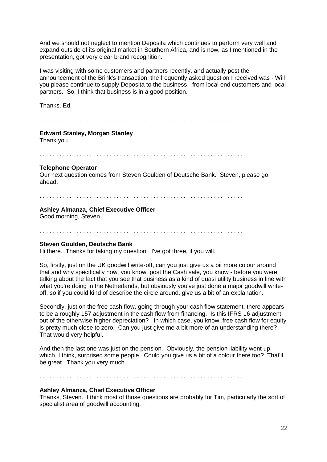And we should not neglect to mention Deposita which continues to perform very well and expand outside of its original market in Southern Africa, and is now, as I mentioned in the presentation, got very clear brand recognition.

I was visiting with some customers and partners recently, and actually post the announcement of the Brink's transaction, the frequently asked question I received was - Will you please continue to supply Deposita to the business - from local end customers and local partners. So, I think that business is in a good position.

Thanks, Ed.

. . . . . . . . . . . . . . . . . . . . . . . . . . . . . . . . . . . . . . . . . . . . . . . . . . . . . . . . . . . . . .

### **Edward Stanley, Morgan Stanley**

Thank you.

. . . . . . . . . . . . . . . . . . . . . . . . . . . . . . . . . . . . . . . . . . . . . . . . . . . . . . . . . . . . . .

### **Telephone Operator**

Our next question comes from Steven Goulden of Deutsche Bank. Steven, please go ahead.

#### . . . . . . . . . . . . . . . . . . . . . . . . . . . . . . . . . . . . . . . . . . . . . . . . . . . . . . . . . . . . . .

### **Ashley Almanza, Chief Executive Officer**

Good morning, Steven.

. . . . . . . . . . . . . . . . . . . . . . . . . . . . . . . . . . . . . . . . . . . . . . . . . . . . . . . . . . . . . .

### **Steven Goulden, Deutsche Bank**

Hi there. Thanks for taking my question. I've got three, if you will.

So, firstly, just on the UK goodwill write-off, can you just give us a bit more colour around that and why specifically now, you know, post the Cash sale, you know - before you were talking about the fact that you see that business as a kind of quasi utility business in line with what you're doing in the Netherlands, but obviously you've just done a major goodwill writeoff, so if you could kind of describe the circle around, give us a bit of an explanation.

Secondly, just on the free cash flow, going through your cash flow statement, there appears to be a roughly 157 adjustment in the cash flow from financing. Is this IFRS 16 adjustment out of the otherwise higher depreciation? In which case, you know, free cash flow for equity is pretty much close to zero. Can you just give me a bit more of an understanding there? That would very helpful.

And then the last one was just on the pension. Obviously, the pension liability went up, which, I think, surprised some people. Could you give us a bit of a colour there too? That'll be great. Thank you very much.

. . . . . . . . . . . . . . . . . . . . . . . . . . . . . . . . . . . . . . . . . . . . . . . . . . . . . . . . . . . . . .

### **Ashley Almanza, Chief Executive Officer**

Thanks, Steven. I think most of those questions are probably for Tim, particularly the sort of specialist area of goodwill accounting.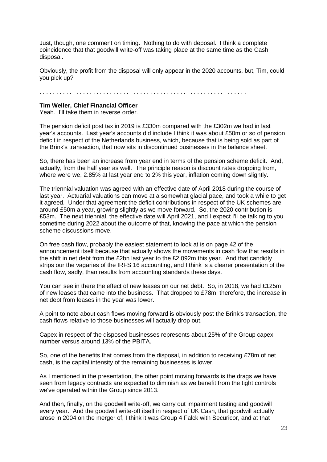Just, though, one comment on timing. Nothing to do with deposal. I think a complete coincidence that that goodwill write-off was taking place at the same time as the Cash disposal.

Obviously, the profit from the disposal will only appear in the 2020 accounts, but, Tim, could you pick up?

. . . . . . . . . . . . . . . . . . . . . . . . . . . . . . . . . . . . . . . . . . . . . . . . . . . . . . . . . . . . . .

### **Tim Weller, Chief Financial Officer**

Yeah. I'll take them in reverse order.

The pension deficit post tax in 2019 is £330m compared with the £302m we had in last year's accounts. Last year's accounts did include I think it was about £50m or so of pension deficit in respect of the Netherlands business, which, because that is being sold as part of the Brink's transaction, that now sits in discontinued businesses in the balance sheet.

So, there has been an increase from year end in terms of the pension scheme deficit. And, actually, from the half year as well. The principle reason is discount rates dropping from, where were we, 2.85% at last year end to 2% this year, inflation coming down slightly.

The triennial valuation was agreed with an effective date of April 2018 during the course of last year. Actuarial valuations can move at a somewhat glacial pace, and took a while to get it agreed. Under that agreement the deficit contributions in respect of the UK schemes are around £50m a year, growing slightly as we move forward. So, the 2020 contribution is £53m. The next triennial, the effective date will April 2021, and I expect I'll be talking to you sometime during 2022 about the outcome of that, knowing the pace at which the pension scheme discussions move.

On free cash flow, probably the easiest statement to look at is on page 42 of the announcement itself because that actually shows the movements in cash flow that results in the shift in net debt from the £2bn last year to the £2,092m this year. And that candidly strips our the vagaries of the IRFS 16 accounting, and I think is a clearer presentation of the cash flow, sadly, than results from accounting standards these days.

You can see in there the effect of new leases on our net debt. So, in 2018, we had £125m of new leases that came into the business. That dropped to £78m, therefore, the increase in net debt from leases in the year was lower.

A point to note about cash flows moving forward is obviously post the Brink's transaction, the cash flows relative to those businesses will actually drop out.

Capex in respect of the disposed businesses represents about 25% of the Group capex number versus around 13% of the PBITA.

So, one of the benefits that comes from the disposal, in addition to receiving £78m of net cash, is the capital intensity of the remaining businesses is lower.

As I mentioned in the presentation, the other point moving forwards is the drags we have seen from legacy contracts are expected to diminish as we benefit from the tight controls we've operated within the Group since 2013.

And then, finally, on the goodwill write-off, we carry out impairment testing and goodwill every year. And the goodwill write-off itself in respect of UK Cash, that goodwill actually arose in 2004 on the merger of, I think it was Group 4 Falck with Securicor, and at that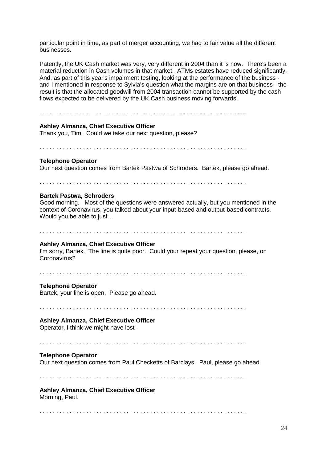particular point in time, as part of merger accounting, we had to fair value all the different businesses.

Patently, the UK Cash market was very, very different in 2004 than it is now. There's been a material reduction in Cash volumes in that market. ATMs estates have reduced significantly. And, as part of this year's impairment testing, looking at the performance of the business and I mentioned in response to Sylvia's question what the margins are on that business - the result is that the allocated goodwill from 2004 transaction cannot be supported by the cash flows expected to be delivered by the UK Cash business moving forwards.

. . . . . . . . . . . . . . . . . . . . . . . . . . . . . . . . . . . . . . . . . . . . . . . . . . . . . . . . . . . . . .

#### **Ashley Almanza, Chief Executive Officer**

Thank you, Tim. Could we take our next question, please?

. . . . . . . . . . . . . . . . . . . . . . . . . . . . . . . . . . . . . . . . . . . . . . . . . . . . . . . . . . . . . .

#### **Telephone Operator**

Our next question comes from Bartek Pastwa of Schroders. Bartek, please go ahead.

. . . . . . . . . . . . . . . . . . . . . . . . . . . . . . . . . . . . . . . . . . . . . . . . . . . . . . . . . . . . . .

### **Bartek Pastwa, Schroders**

Good morning. Most of the questions were answered actually, but you mentioned in the context of Coronavirus, you talked about your input-based and output-based contracts. Would you be able to just…

. . . . . . . . . . . . . . . . . . . . . . . . . . . . . . . . . . . . . . . . . . . . . . . . . . . . . . . . . . . . . .

#### **Ashley Almanza, Chief Executive Officer**

I'm sorry, Bartek. The line is quite poor. Could your repeat your question, please, on Coronavirus?

. . . . . . . . . . . . . . . . . . . . . . . . . . . . . . . . . . . . . . . . . . . . . . . . . . . . . . . . . . . . . .

### **Telephone Operator**

Bartek, your line is open. Please go ahead.

. . . . . . . . . . . . . . . . . . . . . . . . . . . . . . . . . . . . . . . . . . . . . . . . . . . . . . . . . . . . . .

### **Ashley Almanza, Chief Executive Officer**

Operator, I think we might have lost -

. . . . . . . . . . . . . . . . . . . . . . . . . . . . . . . . . . . . . . . . . . . . . . . . . . . . . . . . . . . . . .

#### **Telephone Operator**

Our next question comes from Paul Checketts of Barclays. Paul, please go ahead.

. . . . . . . . . . . . . . . . . . . . . . . . . . . . . . . . . . . . . . . . . . . . . . . . . . . . . . . . . . . . . .

# **Ashley Almanza, Chief Executive Officer**

Morning, Paul.

. . . . . . . . . . . . . . . . . . . . . . . . . . . . . . . . . . . . . . . . . . . . . . . . . . . . . . . . . . . . . .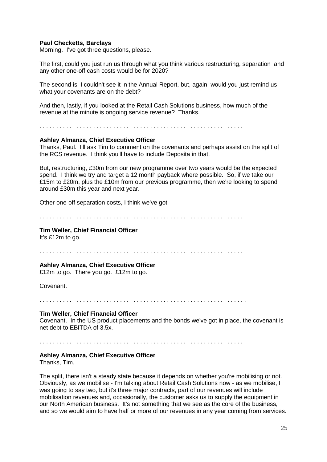### **Paul Checketts, Barclays**

Morning. I've got three questions, please.

The first, could you just run us through what you think various restructuring, separation and any other one-off cash costs would be for 2020?

The second is, I couldn't see it in the Annual Report, but, again, would you just remind us what your covenants are on the debt?

And then, lastly, if you looked at the Retail Cash Solutions business, how much of the revenue at the minute is ongoing service revenue? Thanks.

. . . . . . . . . . . . . . . . . . . . . . . . . . . . . . . . . . . . . . . . . . . . . . . . . . . . . . . . . . . . . .

#### **Ashley Almanza, Chief Executive Officer**

Thanks, Paul. I'll ask Tim to comment on the covenants and perhaps assist on the split of the RCS revenue. I think you'll have to include Deposita in that.

But, restructuring, £30m from our new programme over two years would be the expected spend. I think we try and target a 12 month payback where possible. So, if we take our £15m to £20m, plus the £10m from our previous programme, then we're looking to spend around £30m this year and next year.

Other one-off separation costs, I think we've got -

. . . . . . . . . . . . . . . . . . . . . . . . . . . . . . . . . . . . . . . . . . . . . . . . . . . . . . . . . . . . . .

### **Tim Weller, Chief Financial Officer**

It's £12m to go.

. . . . . . . . . . . . . . . . . . . . . . . . . . . . . . . . . . . . . . . . . . . . . . . . . . . . . . . . . . . . . .

#### **Ashley Almanza, Chief Executive Officer**

£12m to go. There you go. £12m to go.

Covenant.

. . . . . . . . . . . . . . . . . . . . . . . . . . . . . . . . . . . . . . . . . . . . . . . . . . . . . . . . . . . . . .

### **Tim Weller, Chief Financial Officer**

Covenant. In the US product placements and the bonds we've got in place, the covenant is net debt to EBITDA of 3.5x.

. . . . . . . . . . . . . . . . . . . . . . . . . . . . . . . . . . . . . . . . . . . . . . . . . . . . . . . . . . . . . .

#### **Ashley Almanza, Chief Executive Officer**

Thanks, Tim.

The split, there isn't a steady state because it depends on whether you're mobilising or not. Obviously, as we mobilise - I'm talking about Retail Cash Solutions now - as we mobilise, I was going to say two, but it's three major contracts, part of our revenues will include mobilisation revenues and, occasionally, the customer asks us to supply the equipment in our North American business. It's not something that we see as the core of the business, and so we would aim to have half or more of our revenues in any year coming from services.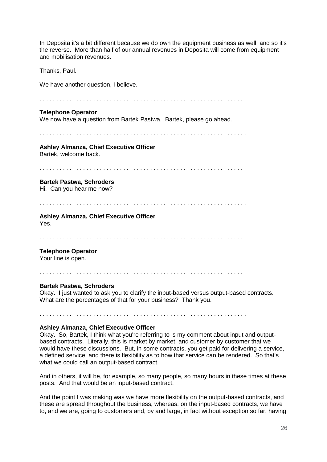In Deposita it's a bit different because we do own the equipment business as well, and so it's the reverse. More than half of our annual revenues in Deposita will come from equipment and mobilisation revenues.

Thanks, Paul.

We have another question, I believe.

. . . . . . . . . . . . . . . . . . . . . . . . . . . . . . . . . . . . . . . . . . . . . . . . . . . . . . . . . . . . . . **Telephone Operator** 

We now have a question from Bartek Pastwa. Bartek, please go ahead.

. . . . . . . . . . . . . . . . . . . . . . . . . . . . . . . . . . . . . . . . . . . . . . . . . . . . . . . . . . . . . .

**Ashley Almanza, Chief Executive Officer** Bartek, welcome back.

. . . . . . . . . . . . . . . . . . . . . . . . . . . . . . . . . . . . . . . . . . . . . . . . . . . . . . . . . . . . . .

### **Bartek Pastwa, Schroders**

Hi. Can you hear me now?

. . . . . . . . . . . . . . . . . . . . . . . . . . . . . . . . . . . . . . . . . . . . . . . . . . . . . . . . . . . . . .

### **Ashley Almanza, Chief Executive Officer**  Yes.

. . . . . . . . . . . . . . . . . . . . . . . . . . . . . . . . . . . . . . . . . . . . . . . . . . . . . . . . . . . . . .

### **Telephone Operator**

Your line is open.

. . . . . . . . . . . . . . . . . . . . . . . . . . . . . . . . . . . . . . . . . . . . . . . . . . . . . . . . . . . . . .

### **Bartek Pastwa, Schroders**

Okay. I just wanted to ask you to clarify the input-based versus output-based contracts. What are the percentages of that for your business? Thank you.

. . . . . . . . . . . . . . . . . . . . . . . . . . . . . . . . . . . . . . . . . . . . . . . . . . . . . . . . . . . . . .

### **Ashley Almanza, Chief Executive Officer**

Okay. So, Bartek, I think what you're referring to is my comment about input and outputbased contracts. Literally, this is market by market, and customer by customer that we would have these discussions. But, in some contracts, you get paid for delivering a service, a defined service, and there is flexibility as to how that service can be rendered. So that's what we could call an output-based contract.

And in others, it will be, for example, so many people, so many hours in these times at these posts. And that would be an input-based contract.

And the point I was making was we have more flexibility on the output-based contracts, and these are spread throughout the business, whereas, on the input-based contracts, we have to, and we are, going to customers and, by and large, in fact without exception so far, having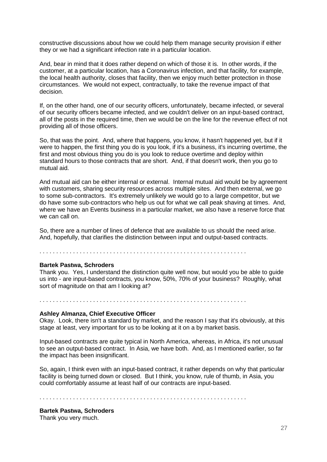constructive discussions about how we could help them manage security provision if either they or we had a significant infection rate in a particular location.

And, bear in mind that it does rather depend on which of those it is. In other words, if the customer, at a particular location, has a Coronavirus infection, and that facility, for example, the local health authority, closes that facility, then we enjoy much better protection in those circumstances. We would not expect, contractually, to take the revenue impact of that decision.

If, on the other hand, one of our security officers, unfortunately, became infected, or several of our security officers became infected, and we couldn't deliver on an input-based contract, all of the posts in the required time, then we would be on the line for the revenue effect of not providing all of those officers.

So, that was the point. And, where that happens, you know, it hasn't happened yet, but if it were to happen, the first thing you do is you look, if it's a business, it's incurring overtime, the first and most obvious thing you do is you look to reduce overtime and deploy within standard hours to those contracts that are short. And, if that doesn't work, then you go to mutual aid.

And mutual aid can be either internal or external. Internal mutual aid would be by agreement with customers, sharing security resources across multiple sites. And then external, we go to some sub-contractors. It's extremely unlikely we would go to a large competitor, but we do have some sub-contractors who help us out for what we call peak shaving at times. And, where we have an Events business in a particular market, we also have a reserve force that we can call on.

So, there are a number of lines of defence that are available to us should the need arise. And, hopefully, that clarifies the distinction between input and output-based contracts.

. . . . . . . . . . . . . . . . . . . . . . . . . . . . . . . . . . . . . . . . . . . . . . . . . . . . . . . . . . . . . .

#### **Bartek Pastwa, Schroders**

Thank you. Yes, I understand the distinction quite well now, but would you be able to guide us into - are input-based contracts, you know, 50%, 70% of your business? Roughly, what sort of magnitude on that am I looking at?

. . . . . . . . . . . . . . . . . . . . . . . . . . . . . . . . . . . . . . . . . . . . . . . . . . . . . . . . . . . . . .

#### **Ashley Almanza, Chief Executive Officer**

Okay. Look, there isn't a standard by market, and the reason I say that it's obviously, at this stage at least, very important for us to be looking at it on a by market basis.

Input-based contracts are quite typical in North America, whereas, in Africa, it's not unusual to see an output-based contract. In Asia, we have both. And, as I mentioned earlier, so far the impact has been insignificant.

So, again, I think even with an input-based contract, it rather depends on why that particular facility is being turned down or closed. But I think, you know, rule of thumb, in Asia, you could comfortably assume at least half of our contracts are input-based.

. . . . . . . . . . . . . . . . . . . . . . . . . . . . . . . . . . . . . . . . . . . . . . . . . . . . . . . . . . . . . .

**Bartek Pastwa, Schroders**  Thank you very much.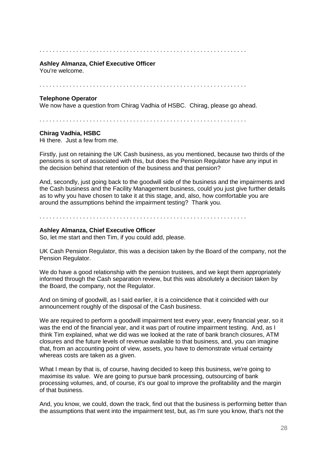#### . . . . . . . . . . . . . . . . . . . . . . . . . . . . . . . . . . . . . . . . . . . . . . . . . . . . . . . . . . . . . .

### **Ashley Almanza, Chief Executive Officer**

You're welcome.

. . . . . . . . . . . . . . . . . . . . . . . . . . . . . . . . . . . . . . . . . . . . . . . . . . . . . . . . . . . . . .

### **Telephone Operator**

We now have a question from Chirag Vadhia of HSBC. Chirag, please go ahead.

. . . . . . . . . . . . . . . . . . . . . . . . . . . . . . . . . . . . . . . . . . . . . . . . . . . . . . . . . . . . . .

### **Chirag Vadhia, HSBC**

Hi there. Just a few from me.

Firstly, just on retaining the UK Cash business, as you mentioned, because two thirds of the pensions is sort of associated with this, but does the Pension Regulator have any input in the decision behind that retention of the business and that pension?

And, secondly, just going back to the goodwill side of the business and the impairments and the Cash business and the Facility Management business, could you just give further details as to why you have chosen to take it at this stage, and, also, how comfortable you are around the assumptions behind the impairment testing? Thank you.

. . . . . . . . . . . . . . . . . . . . . . . . . . . . . . . . . . . . . . . . . . . . . . . . . . . . . . . . . . . . . .

### **Ashley Almanza, Chief Executive Officer**

So, let me start and then Tim, if you could add, please.

UK Cash Pension Regulator, this was a decision taken by the Board of the company, not the Pension Regulator.

We do have a good relationship with the pension trustees, and we kept them appropriately informed through the Cash separation review, but this was absolutely a decision taken by the Board, the company, not the Regulator.

And on timing of goodwill, as I said earlier, it is a coincidence that it coincided with our announcement roughly of the disposal of the Cash business.

We are required to perform a goodwill impairment test every year, every financial year, so it was the end of the financial year, and it was part of routine impairment testing. And, as I think Tim explained, what we did was we looked at the rate of bank branch closures, ATM closures and the future levels of revenue available to that business, and, you can imagine that, from an accounting point of view, assets, you have to demonstrate virtual certainty whereas costs are taken as a given.

What I mean by that is, of course, having decided to keep this business, we're going to maximise its value. We are going to pursue bank processing, outsourcing of bank processing volumes, and, of course, it's our goal to improve the profitability and the margin of that business.

And, you know, we could, down the track, find out that the business is performing better than the assumptions that went into the impairment test, but, as I'm sure you know, that's not the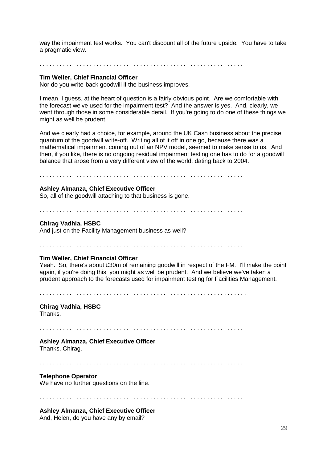way the impairment test works. You can't discount all of the future upside. You have to take a pragmatic view.

. . . . . . . . . . . . . . . . . . . . . . . . . . . . . . . . . . . . . . . . . . . . . . . . . . . . . . . . . . . . . .

### **Tim Weller, Chief Financial Officer**

Nor do you write-back goodwill if the business improves.

I mean, I guess, at the heart of question is a fairly obvious point. Are we comfortable with the forecast we've used for the impairment test? And the answer is yes. And, clearly, we went through those in some considerable detail. If you're going to do one of these things we might as well be prudent.

And we clearly had a choice, for example, around the UK Cash business about the precise quantum of the goodwill write-off. Writing all of it off in one go, because there was a mathematical impairment coming out of an NPV model, seemed to make sense to us. And then, if you like, there is no ongoing residual impairment testing one has to do for a goodwill balance that arose from a very different view of the world, dating back to 2004.

. . . . . . . . . . . . . . . . . . . . . . . . . . . . . . . . . . . . . . . . . . . . . . . . . . . . . . . . . . . . . .

### **Ashley Almanza, Chief Executive Officer**

So, all of the goodwill attaching to that business is gone.

. . . . . . . . . . . . . . . . . . . . . . . . . . . . . . . . . . . . . . . . . . . . . . . . . . . . . . . . . . . . . .

#### **Chirag Vadhia, HSBC**

And just on the Facility Management business as well?

. . . . . . . . . . . . . . . . . . . . . . . . . . . . . . . . . . . . . . . . . . . . . . . . . . . . . . . . . . . . . .

#### **Tim Weller, Chief Financial Officer**

Yeah. So, there's about £30m of remaining goodwill in respect of the FM. I'll make the point again, if you're doing this, you might as well be prudent. And we believe we've taken a prudent approach to the forecasts used for impairment testing for Facilities Management.

. . . . . . . . . . . . . . . . . . . . . . . . . . . . . . . . . . . . . . . . . . . . . . . . . . . . . . . . . . . . . .

### **Chirag Vadhia, HSBC**

Thanks.

. . . . . . . . . . . . . . . . . . . . . . . . . . . . . . . . . . . . . . . . . . . . . . . . . . . . . . . . . . . . . .

### **Ashley Almanza, Chief Executive Officer**

Thanks, Chirag.

. . . . . . . . . . . . . . . . . . . . . . . . . . . . . . . . . . . . . . . . . . . . . . . . . . . . . . . . . . . . . .

### **Telephone Operator**

We have no further questions on the line.

. . . . . . . . . . . . . . . . . . . . . . . . . . . . . . . . . . . . . . . . . . . . . . . . . . . . . . . . . . . . . .

### **Ashley Almanza, Chief Executive Officer**

And, Helen, do you have any by email?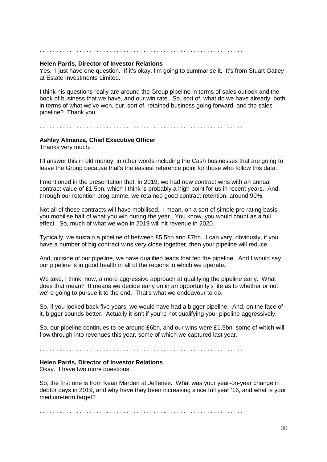#### . . . . . . . . . . . . . . . . . . . . . . . . . . . . . . . . . . . . . . . . . . . . . . . . . . . . . . . . . . . . . .

### **Helen Parris, Director of Investor Relations**

Yes. I just have one question. If it's okay, I'm going to summarise it. It's from Stuart Gatley at Estate Investments Limited.

I think his questions really are around the Group pipeline in terms of sales outlook and the book of business that we have, and our win rate. So, sort of, what do we have already, both in terms of what we've won, our, sort of, retained business going forward, and the sales pipeline? Thank you.

. . . . . . . . . . . . . . . . . . . . . . . . . . . . . . . . . . . . . . . . . . . . . . . . . . . . . . . . . . . . . .

#### **Ashley Almanza, Chief Executive Officer**

Thanks very much.

I'll answer this in old money, in other words including the Cash businesses that are going to leave the Group because that's the easiest reference point for those who follow this data.

I mentioned in the presentation that, in 2019, we had new contract wins with an annual contract value of £1.5bn, which I think is probably a high point for us in recent years. And, through our retention programme, we retained good contract retention, around 90%.

Not all of those contracts will have mobilised. I mean, on a sort of simple pro rating basis, you mobilise half of what you win during the year. You know, you would count as a full effect. So, much of what we won in 2019 will hit revenue in 2020.

Typically, we sustain a pipeline of between £5.5bn and £7bn. I can vary, obviously, if you have a number of big contract wins very close together, then your pipeline will reduce.

And, outside of our pipeline, we have qualified leads that fed the pipeline. And I would say our pipeline is in good health in all of the regions in which we operate.

We take, I think, now, a more aggressive approach at qualifying the pipeline early. What does that mean? It means we decide early on in an opportunity's life as to whether or not we're going to pursue it to the end. That's what we endeavour to do.

So, if you looked back five years, we would have had a bigger pipeline. And, on the face of it, bigger sounds better. Actually it isn't if you're not qualifying your pipeline aggressively.

So, our pipeline continues to be around £6bn, and our wins were £1.5bn, some of which will flow through into revenues this year, some of which we captured last year.

. . . . . . . . . . . . . . . . . . . . . . . . . . . . . . . . . . . . . . . . . . . . . . . . . . . . . . . . . . . . . .

#### **Helen Parris, Director of Investor Relations**

Okay. I have two more questions.

So, the first one is from Kean Marden at Jefferies. What was your year-on-year change in debtor days in 2019, and why have they been increasing since full year '16, and what is your medium-term target?

. . . . . . . . . . . . . . . . . . . . . . . . . . . . . . . . . . . . . . . . . . . . . . . . . . . . . . . . . . . . . .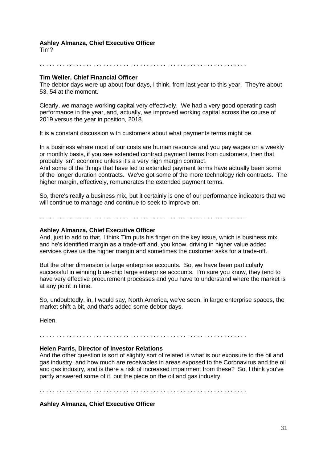### **Ashley Almanza, Chief Executive Officer**

Tim?

. . . . . . . . . . . . . . . . . . . . . . . . . . . . . . . . . . . . . . . . . . . . . . . . . . . . . . . . . . . . . .

### **Tim Weller, Chief Financial Officer**

The debtor days were up about four days, I think, from last year to this year. They're about 53, 54 at the moment.

Clearly, we manage working capital very effectively. We had a very good operating cash performance in the year, and, actually, we improved working capital across the course of 2019 versus the year in position, 2018.

It is a constant discussion with customers about what payments terms might be.

In a business where most of our costs are human resource and you pay wages on a weekly or monthly basis, if you see extended contract payment terms from customers, then that probably isn't economic unless it's a very high margin contract.

And some of the things that have led to extended payment terms have actually been some of the longer duration contracts. We've got some of the more technology rich contracts. The higher margin, effectively, remunerates the extended payment terms.

So, there's really a business mix, but it certainly is one of our performance indicators that we will continue to manage and continue to seek to improve on.

. . . . . . . . . . . . . . . . . . . . . . . . . . . . . . . . . . . . . . . . . . . . . . . . . . . . . . . . . . . . . .

### **Ashley Almanza, Chief Executive Officer**

And, just to add to that, I think Tim puts his finger on the key issue, which is business mix, and he's identified margin as a trade-off and, you know, driving in higher value added services gives us the higher margin and sometimes the customer asks for a trade-off.

But the other dimension is large enterprise accounts. So, we have been particularly successful in winning blue-chip large enterprise accounts. I'm sure you know, they tend to have very effective procurement processes and you have to understand where the market is at any point in time.

So, undoubtedly, in, I would say, North America, we've seen, in large enterprise spaces, the market shift a bit, and that's added some debtor days.

Helen.

. . . . . . . . . . . . . . . . . . . . . . . . . . . . . . . . . . . . . . . . . . . . . . . . . . . . . . . . . . . . . .

### **Helen Parris, Director of Investor Relations**

And the other question is sort of slightly sort of related is what is our exposure to the oil and gas industry, and how much are receivables in areas exposed to the Coronavirus and the oil and gas industry, and is there a risk of increased impairment from these? So, I think you've partly answered some of it, but the piece on the oil and gas industry.

. . . . . . . . . . . . . . . . . . . . . . . . . . . . . . . . . . . . . . . . . . . . . . . . . . . . . . . . . . . . . .

### **Ashley Almanza, Chief Executive Officer**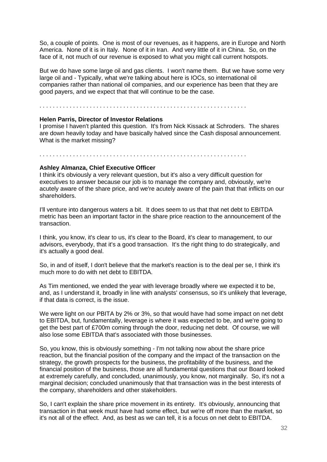So, a couple of points. One is most of our revenues, as it happens, are in Europe and North America. None of it is in Italy. None of it in Iran. And very little of it in China. So, on the face of it, not much of our revenue is exposed to what you might call current hotspots.

But we do have some large oil and gas clients. I won't name them. But we have some very large oil and - Typically, what we're talking about here is IOCs, so international oil companies rather than national oil companies, and our experience has been that they are good payers, and we expect that that will continue to be the case.

. . . . . . . . . . . . . . . . . . . . . . . . . . . . . . . . . . . . . . . . . . . . . . . . . . . . . . . . . . . . . .

### **Helen Parris, Director of Investor Relations**

I promise I haven't planted this question. It's from Nick Kissack at Schroders. The shares are down heavily today and have basically halved since the Cash disposal announcement. What is the market missing?

#### . . . . . . . . . . . . . . . . . . . . . . . . . . . . . . . . . . . . . . . . . . . . . . . . . . . . . . . . . . . . . .

#### **Ashley Almanza, Chief Executive Officer**

I think it's obviously a very relevant question, but it's also a very difficult question for executives to answer because our job is to manage the company and, obviously, we're acutely aware of the share price, and we're acutely aware of the pain that that inflicts on our shareholders.

I'll venture into dangerous waters a bit. It does seem to us that that net debt to EBITDA metric has been an important factor in the share price reaction to the announcement of the transaction.

I think, you know, it's clear to us, it's clear to the Board, it's clear to management, to our advisors, everybody, that it's a good transaction. It's the right thing to do strategically, and it's actually a good deal.

So, in and of itself, I don't believe that the market's reaction is to the deal per se, I think it's much more to do with net debt to EBITDA.

As Tim mentioned, we ended the year with leverage broadly where we expected it to be, and, as I understand it, broadly in line with analysts' consensus, so it's unlikely that leverage, if that data is correct, is the issue.

We were light on our PBITA by 2% or 3%, so that would have had some impact on net debt to EBITDA, but, fundamentally, leverage is where it was expected to be, and we're going to get the best part of £700m coming through the door, reducing net debt. Of course, we will also lose some EBITDA that's associated with those businesses.

So, you know, this is obviously something - I'm not talking now about the share price reaction, but the financial position of the company and the impact of the transaction on the strategy, the growth prospects for the business, the profitability of the business, and the financial position of the business, those are all fundamental questions that our Board looked at extremely carefully, and concluded, unanimously, you know, not marginally. So, it's not a marginal decision; concluded unanimously that that transaction was in the best interests of the company, shareholders and other stakeholders.

So, I can't explain the share price movement in its entirety. It's obviously, announcing that transaction in that week must have had some effect, but we're off more than the market, so it's not all of the effect. And, as best as we can tell, it is a focus on net debt to EBITDA.